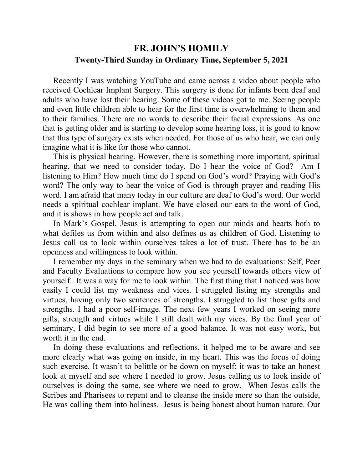## **FR. JOHN'S HOMILY Twenty-Third Sunday in Ordinary Time, September 5, 2021**

 Recently I was watching YouTube and came across a video about people who received Cochlear Implant Surgery. This surgery is done for infants born deaf and adults who have lost their hearing. Some of these videos got to me. Seeing people and even little children able to hear for the first time is overwhelming to them and to their families. There are no words to describe their facial expressions. As one that is getting older and is starting to develop some hearing loss, it is good to know that this type of surgery exists when needed. For those of us who hear, we can only imagine what it is like for those who cannot.

 This is physical hearing. However, there is something more important, spiritual hearing, that we need to consider today. Do I hear the voice of God? Am I listening to Him? How much time do I spend on God's word? Praying with God's word? The only way to hear the voice of God is through prayer and reading His word. I am afraid that many today in our culture are deaf to God's word. Our world needs a spiritual cochlear implant. We have closed our ears to the word of God, and it is shows in how people act and talk.

 In Mark's Gospel, Jesus is attempting to open our minds and hearts both to what defiles us from within and also defines us as children of God. Listening to Jesus call us to look within ourselves takes a lot of trust. There has to be an openness and willingness to look within.

 I remember my days in the seminary when we had to do evaluations: Self, Peer and Faculty Evaluations to compare how you see yourself towards others view of yourself. It was a way for me to look within. The first thing that I noticed was how easily I could list my weakness and vices. I struggled listing my strengths and virtues, having only two sentences of strengths. I struggled to list those gifts and strengths. I had a poor self-image. The next few years I worked on seeing more gifts, strength and virtues while I still dealt with my vices. By the final year of seminary, I did begin to see more of a good balance. It was not easy work, but worth it in the end.

 In doing these evaluations and reflections, it helped me to be aware and see more clearly what was going on inside, in my heart. This was the focus of doing such exercise. It wasn't to belittle or be down on myself; it was to take an honest look at myself and see where I needed to grow. Jesus calling us to look inside of ourselves is doing the same, see where we need to grow. When Jesus calls the Scribes and Pharisees to repent and to cleanse the inside more so than the outside, He was calling them into holiness. Jesus is being honest about human nature. Our